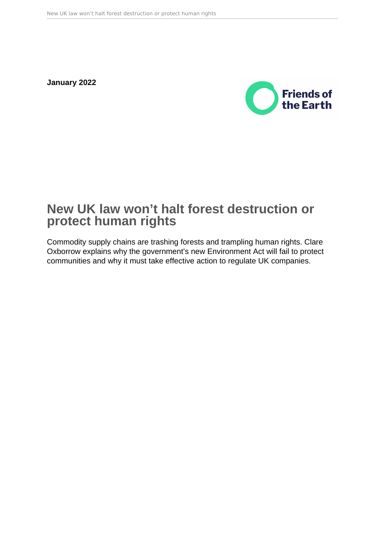**January 2022**



# **New UK law won't halt forest destruction or protect human rights**

Commodity supply chains are trashing forests and trampling human rights. Clare Oxborrow explains why the government's new Environment Act will fail to protect communities and why it must take effective action to regulate UK companies.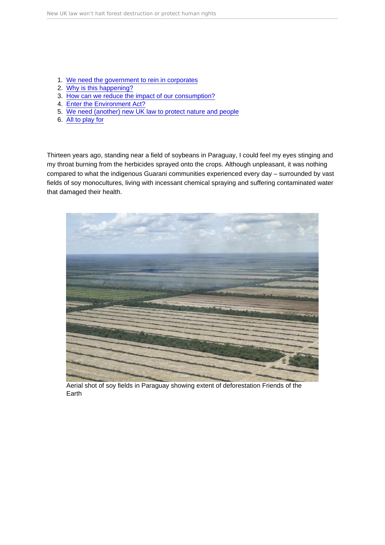- 1. [We need the government to rein in corporates](#page-3-0)
- 2. [Why is this happening?](#page-4-0)
- 3. [How can we reduce the impact of our consumption?](#page-8-0)
- 4. [Enter the Environment Act?](#page-9-0)
- 5. [We need \(another\) new UK law to protect nature and people](#page-10-0)
- 6. [All to play for](#page-11-0)

Thirteen years ago, standing near a field of soybeans in Paraguay, I could feel my eyes stinging and my throat burning from the herbicides sprayed onto the crops. Although unpleasant, it was nothing compared to what the indigenous Guarani communities experienced every day – surrounded by vast fields of soy monocultures, living with incessant chemical spraying and suffering contaminated water that damaged their health.

Aerial shot of soy fields in Paraguay showing extent of deforestation Friends of the Earth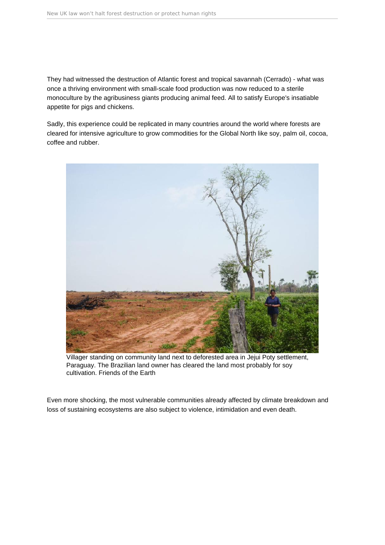They had witnessed the destruction of Atlantic forest and tropical savannah (Cerrado) - what was once a thriving environment with small-scale food production was now reduced to a sterile monoculture by the agribusiness giants producing animal feed. All to satisfy Europe's insatiable appetite for pigs and chickens.

Sadly, this experience could be replicated in many countries around the world where forests are cleared for intensive agriculture to grow commodities for the Global North like soy, palm oil, cocoa, coffee and rubber.



Villager standing on community land next to deforested area in Jejui Poty settlement, Paraguay. The Brazilian land owner has cleared the land most probably for soy cultivation. Friends of the Earth

Even more shocking, the most vulnerable communities already affected by climate breakdown and loss of sustaining ecosystems are also subject to violence, intimidation and even death.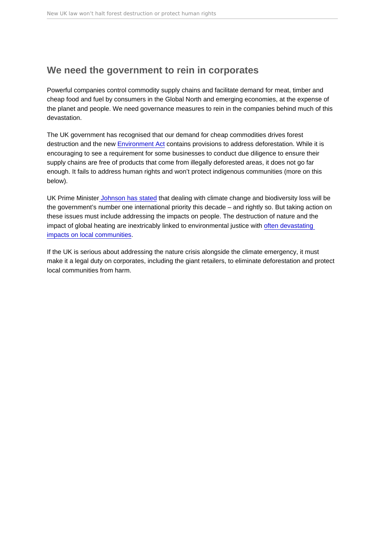## <span id="page-3-0"></span>We need the government to rein in corporates

Powerful companies control commodity supply chains and facilitate demand for meat, timber and cheap food and fuel by consumers in the Global North and emerging economies, at the expense of the planet and people. We need governance measures to rein in the companies behind much of this devastation.

The UK government has recognised that our demand for cheap commodities drives forest destruction and the new [Environment Act](https://friendsoftheearth.uk/sustainable-living/5-things-you-need-know-about-new-environment-act) contains provisions to address deforestation. While it is encouraging to see a requirement for some businesses to conduct due diligence to ensure their supply chains are free of products that come from illegally deforested areas, it does not go far enough. It fails to address human rights and won't protect indigenous communities (more on this below).

UK Prime Ministe[r Johnson has stated](https://assets.publishing.service.gov.uk/government/uploads/system/uploads/attachment_data/file/975077/Global_Britain_in_a_Competitive_Age-_the_Integrated_Review_of_Security__Defence__Development_and_Foreign_Policy.pdf) that dealing with climate change and biodiversity loss will be the government's number one international priority this decade – and rightly so. But taking action on these issues must include addressing the impacts on people. The destruction of nature and the impact of global heating are inextricably linked to environmental justice with [often devastating](https://news.mongabay.com/2021/02/as-nature-declines-so-does-human-quality-of-life-study-finds/)  [impacts on local communities](https://news.mongabay.com/2021/02/as-nature-declines-so-does-human-quality-of-life-study-finds/).

If the UK is serious about addressing the nature crisis alongside the climate emergency, it must make it a legal duty on corporates, including the giant retailers, to eliminate deforestation and protect local communities from harm.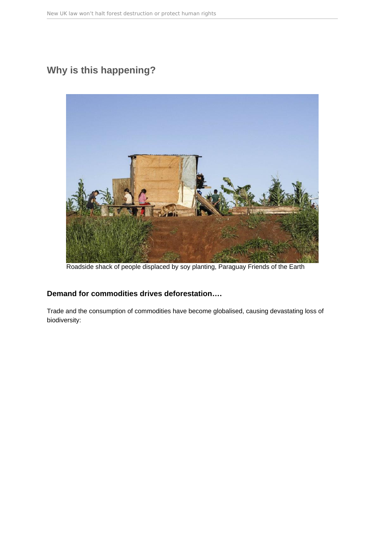## <span id="page-4-0"></span>**Why is this happening?**



Roadside shack of people displaced by soy planting, Paraguay Friends of the Earth

### **Demand for commodities drives deforestation….**

Trade and the consumption of commodities have become globalised, causing devastating loss of biodiversity: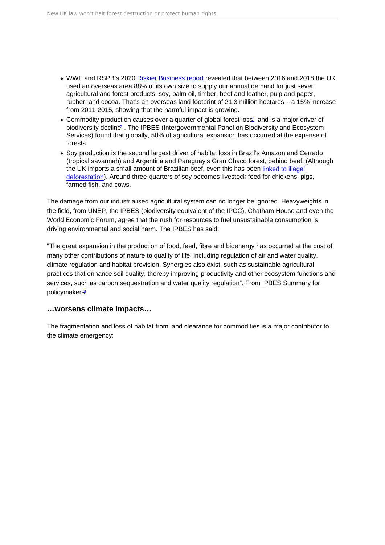- <span id="page-5-0"></span>WWF and RSPB's 2020 [Riskier Business report](https://www.wwf.org.uk/riskybusiness) revealed that between 2016 and 2018 the UK used an overseas area 88% of its own size to supply our annual demand for just seven agricultural and forest products: soy, palm oil, timber, beef and leather, pulp and paper, rubber, and cocoa. That's an overseas land footprint of 21.3 million hectares – a 15% increase from 2011-2015, showing that the harmful impact is growing.
- Commodity production causes over a quarter of global forest loss! and is a major driver of biodiversity decline[2](#page-13-0) . The IPBES (Intergovernmental Panel on Biodiversity and Ecosystem Services) found that globally, 50% of agricultural expansion has occurred at the expense of forests.
- Soy production is the second largest driver of habitat loss in Brazil's Amazon and Cerrado (tropical savannah) and Argentina and Paraguay's Gran Chaco forest, behind beef. (Although the UK imports a small amount of Brazilian beef, even this has been [linked to illegal](https://www.independent.co.uk/climate-change/news/asda-lidl-waitrose-amazon-rainforest-destruction-beef-brazil-environment-a8918981.html)  [deforestation](https://www.independent.co.uk/climate-change/news/asda-lidl-waitrose-amazon-rainforest-destruction-beef-brazil-environment-a8918981.html)). Around three-quarters of soy becomes livestock feed for chickens, pigs, farmed fish, and cows.

The damage from our industrialised agricultural system can no longer be ignored. Heavyweights in the field, from UNEP, the IPBES (biodiversity equivalent of the IPCC), Chatham House and even the World Economic Forum, agree that the rush for resources to fuel unsustainable consumption is driving environmental and social harm. The IPBES has said:

"The great expansion in the production of food, feed, fibre and bioenergy has occurred at the cost of many other contributions of nature to quality of life, including regulation of air and water quality, climate regulation and habitat provision. Synergies also exist, such as sustainable agricultural practices that enhance soil quality, thereby improving productivity and other ecosystem functions and services, such as carbon sequestration and water quality regulation". From IPBES Summary for policymakers<sup>[3](#page-13-0)</sup>.

…worsens climate impacts…

The fragmentation and loss of habitat from land clearance for commodities is a major contributor to the climate emergency: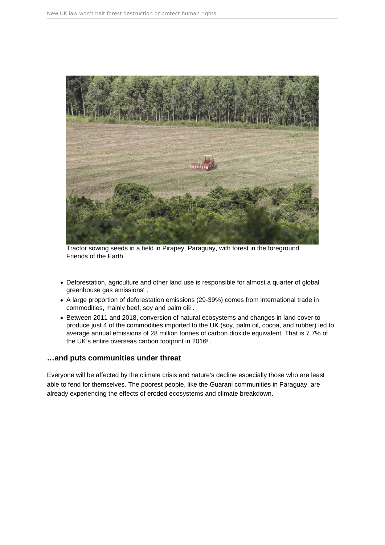<span id="page-6-0"></span>Tractor sowing seeds in a field in Pirapey, Paraguay, with forest in the foreground Friends of the Earth

- Deforestation, agriculture and other land use is responsible for almost a quarter of global greenhouse gas emissions<sup>[4](#page-13-0)</sup>.
- A large proportion of deforestation emissions (29-39%) comes from international trade in commodities, mainly beef, soy and palm oi<sup>p</sup>.
- Between 2011 and 2018, conversion of natural ecosystems and changes in land cover to produce just 4 of the commodities imported to the UK (soy, palm oil, cocoa, and rubber) led to average annual emissions of 28 million tonnes of carbon dioxide equivalent. That is 7.7% of the UK's entire overseas carbon footprint in  $2016$  $2016$ <sup>6</sup>.

…and puts communities under threat

Everyone will be affected by the climate crisis and nature's decline especially those who are least able to fend for themselves. The poorest people, like the Guarani communities in Paraguay, are already experiencing the effects of eroded ecosystems and climate breakdown.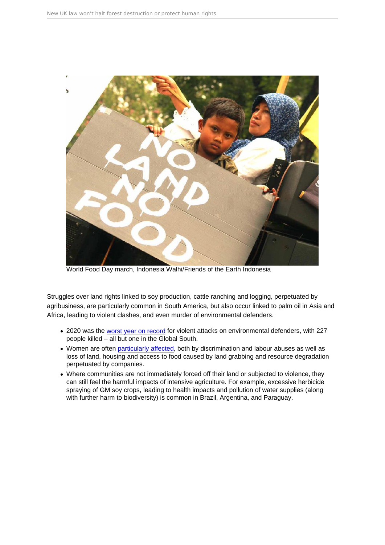World Food Day march, Indonesia Walhi/Friends of the Earth Indonesia

Struggles over land rights linked to soy production, cattle ranching and logging, perpetuated by agribusiness, are particularly common in South America, but also occur linked to palm oil in Asia and Africa, leading to violent clashes, and even murder of environmental defenders.

- 2020 was the [worst year on record](https://www.globalwitness.org/en/campaigns/environmental-activists/last-line-defence/) for violent attacks on environmental defenders, with 227 people killed – all but one in the Global South.
- Women are often [particularly affected,](https://corporatejustice.org/news/corporate-accountability-whats-gender-got-to-do-with-it/) both by discrimination and labour abuses as well as loss of land, housing and access to food caused by land grabbing and resource degradation perpetuated by companies.
- Where communities are not immediately forced off their land or subjected to violence, they can still feel the harmful impacts of intensive agriculture. For example, excessive herbicide spraying of GM soy crops, leading to health impacts and pollution of water supplies (along with further harm to biodiversity) is common in Brazil, Argentina, and Paraguay.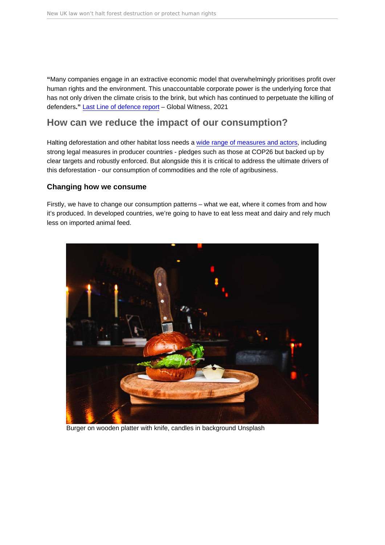<span id="page-8-0"></span>" Many companies engage in an extractive economic model that overwhelmingly prioritises profit over human rights and the environment. This unaccountable corporate power is the underlying force that has not only driven the climate crisis to the brink, but which has continued to perpetuate the killing of defenders." [Last Line of defence report](https://www.globalwitness.org/en/campaigns/environmental-activists/last-line-defence/) – Global Witness, 2021

## How can we reduce the impact of our consumption?

Halting deforestation and other habitat loss needs a [wide range of measures and actors](https://policy.friendsoftheearth.uk/insight/why-2020-30-make-or-break-decade-climate-and-nature), including strong legal measures in producer countries - pledges such as those at COP26 but backed up by clear targets and robustly enforced. But alongside this it is critical to address the ultimate drivers of this deforestation - our consumption of commodities and the role of agribusiness.

#### Changing how we consume

Firstly, we have to change our consumption patterns – what we eat, where it comes from and how it's produced. In developed countries, we're going to have to eat less meat and dairy and rely much less on imported animal feed.

Burger on wooden platter with knife, candles in background Unsplash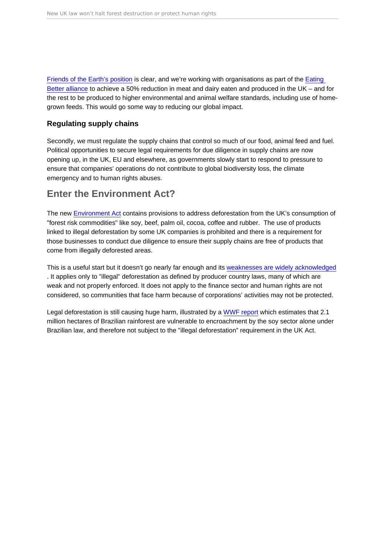<span id="page-9-0"></span>[Friends of the Earth's position](https://policy.friendsoftheearth.uk/policy-positions/sustainable-eating-our-position) is clear, and we're working with organisations as part of the [Eating](https://www.eating-better.org/)  [Better alliance](https://www.eating-better.org/) to achieve a 50% reduction in meat and dairy eaten and produced in the UK – and for the rest to be produced to higher environmental and animal welfare standards, including use of homegrown feeds. This would go some way to reducing our global impact.

#### Regulating supply chains

Secondly, we must regulate the supply chains that control so much of our food, animal feed and fuel. Political opportunities to secure legal requirements for due diligence in supply chains are now opening up, in the UK, EU and elsewhere, as governments slowly start to respond to pressure to ensure that companies' operations do not contribute to global biodiversity loss, the climate emergency and to human rights abuses.

## Enter the Environment Act?

The new [Environment Act](https://friendsoftheearth.uk/sustainable-living/5-things-you-need-know-about-new-environment-act) contains provisions to address deforestation from the UK's consumption of "forest risk commodities" like soy, beef, palm oil, cocoa, coffee and rubber. The use of products linked to illegal deforestation by some UK companies is prohibited and there is a requirement for those businesses to conduct due diligence to ensure their supply chains are free of products that come from illegally deforested areas.

This is a useful start but it doesn't go nearly far enough and its [weaknesses are widely acknowledged](https://greenallianceblog.org.uk/2021/11/09/it-is-momentous-that-we-finally-have-an-environment-act-so-what-now/) . It applies only to "illegal" deforestation as defined by producer country laws, many of which are weak and not properly enforced. It does not apply to the finance sector and human rights are not considered, so communities that face harm because of corporations' activities may not be protected.

Legal deforestation is still causing huge harm, illustrated by a [WWF report](https://www.wwf.org.uk/sites/default/files/2021-08/WWF-UK-Due-Negligence-Report.pdf) which estimates that 2.1 million hectares of Brazilian rainforest are vulnerable to encroachment by the soy sector alone under Brazilian law, and therefore not subject to the "illegal deforestation" requirement in the UK Act.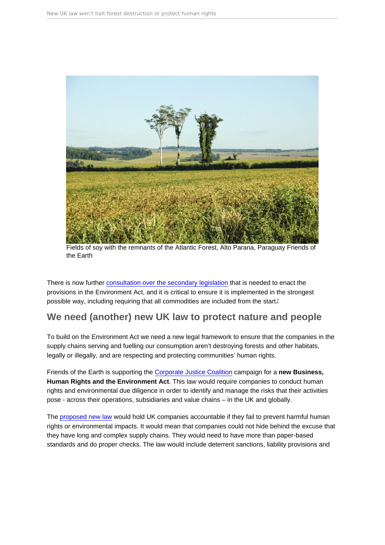<span id="page-10-0"></span>Fields of soy with the remnants of the Atlantic Forest, Alto Parana, Paraguay Friends of the Earth

There is now further [consultation over the secondary legislation](https://www.gov.uk/government/news/government-sets-out-plans-to-clean-up-the-uks-supply-chains-to-help-protect-forests) that is needed to enact the provisions in the Environment Act, and it is critical to ensure it is implemented in the strongest possible way, including requiring that all commodities are included from the start<sup>[7](#page-13-0)</sup>

### We need (another) new UK law to protect nature and people

To build on the Environment Act we need a new legal framework to ensure that the companies in the supply chains serving and fuelling our consumption aren't destroying forests and other habitats, legally or illegally, and are respecting and protecting communities' human rights.

Friends of the Earth is supporting the [Corporate Justice Coalition](https://corporatejusticecoalition.org/) campaign for a new Business, Human Rights and the Environment Act . This law would require companies to conduct human rights and environmental due diligence in order to identify and manage the risks that their activities pose - across their operations, subsidiaries and value chains – in the UK and globally.

The [proposed new law](https://corporatejusticecoalition.org/our-campaigns/due-diligence-law/) would hold UK companies accountable if they fail to prevent harmful human rights or environmental impacts. It would mean that companies could not hide behind the excuse that they have long and complex supply chains. They would need to have more than paper-based standards and do proper checks. The law would include deterrent sanctions, liability provisions and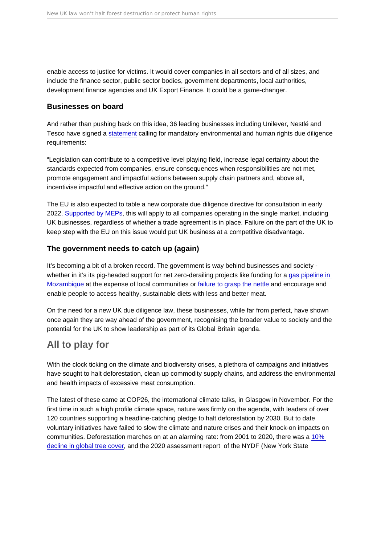<span id="page-11-0"></span>enable access to justice for victims. It would cover companies in all sectors and of all sizes, and include the finance sector, public sector bodies, government departments, local authorities, development finance agencies and UK Export Finance. It could be a game-changer.

#### Businesses on board

And rather than pushing back on this idea, 36 leading businesses including Unilever, Nestlé and Tesco have signed a [statement](https://corporatejusticecoalition.org/resources/uk-businesses-investors-call-for-new-human-rights-and-environmental-due-diligence-law-2/) calling for mandatory environmental and human rights due diligence requirements:

"Legislation can contribute to a competitive level playing field, increase legal certainty about the standards expected from companies, ensure consequences when responsibilities are not met, promote engagement and impactful actions between supply chain partners and, above all, incentivise impactful and effective action on the ground."

The EU is also expected to table a new corporate due diligence directive for consultation in early 2022[. Supported by MEPs](https://www.euractiv.com/section/circular-economy/news/lawmakers-call-for-green-due-diligence-in-europes-supply-chains/), this will apply to all companies operating in the single market, including UK businesses, regardless of whether a trade agreement is in place. Failure on the part of the UK to keep step with the EU on this issue would put UK business at a competitive disadvantage.

#### The government needs to catch up (again)

It's becoming a bit of a broken record. The government is way behind businesses and society whether in it's its pig-headed support for net zero-derailing projects like funding for a [gas pipeline in](https://friendsoftheearth.uk/climate/fuelling-war-friends-earth-mozambique-update-us-real-cost-gas-power)  [Mozambique](https://friendsoftheearth.uk/climate/fuelling-war-friends-earth-mozambique-update-us-real-cost-gas-power) at the expense of local communities or [failure to grasp the nettle](https://policy.friendsoftheearth.uk/opinion/planet-friendly-diets-time-embrace-nanny-state) and encourage and enable people to access healthy, sustainable diets with less and better meat.

On the need for a new UK due diligence law, these businesses, while far from perfect, have shown once again they are way ahead of the government, recognising the broader value to society and the potential for the UK to show leadership as part of its Global Britain agenda.

## All to play for

With the clock ticking on the climate and biodiversity crises, a plethora of campaigns and initiatives have sought to halt deforestation, clean up commodity supply chains, and address the environmental and health impacts of excessive meat consumption.

The latest of these came at COP26, the international climate talks, in Glasgow in November. For the first time in such a high profile climate space, nature was firmly on the agenda, with leaders of over 120 countries supporting a headline-catching pledge to halt deforestation by 2030. But to date voluntary initiatives have failed to slow the climate and nature crises and their knock-on impacts on communities. Deforestation marches on at an alarming rate: from 2001 to 2020, there was a [10%](https://www.globalforestwatch.org/dashboards/global/?category=summary&dashboardPrompts=eyJzaG93UHJvbXB0cyI6dHJ1ZSwicHJvbXB0c1ZpZXdlZCI6W10sInNldHRpbmdzIjp7Im9wZW4iOmZhbHNlLCJzdGVwSW5kZXgiOjAsInN0ZXBzS2V5IjoiIn0sIm9wZW4iOnRydWUsInN0ZXBzS2V5Ijoic2hhcmVXaWRnZXQifQ==&location=WyJnbG9iYWwiXQ==&map=eyJkYXRhc2V0cyI6W3sib3BhY2l0eSI6MC43LCJ2aXNpYmlsaXR5Ijp0cnVlLCJkYXRhc2V0IjoicHJpbWFyeS1mb3Jlc3RzIiwibGF5ZXJzIjpbInByaW1hcnktZm9yZXN0cy0yMDAxIl19LHsiZGF0YXNldCI6InBvbGl0aWNhbC1ib3VuZGFyaWVzIiwibGF5ZXJzIjpbImRpc3B1dGVkLXBvbGl0aWNhbC1ib3VuZGFyaWVzIiwicG9saXRpY2FsLWJvdW5kYXJpZXMiXSwiYm91bmRhcnkiOnRydWUsIm9wYWNpdHkiOjEsInZpc2liaWxpdHkiOnRydWV9LHsiZGF0YXNldCI6InRyZWUtY292ZXItbG9zcyIsImxheWVycyI6WyJ0cmVlLWNvdmVyLWxvc3MiXSwib3BhY2l0eSI6MSwidmlzaWJpbGl0eSI6dHJ1ZSwidGltZWxpbmVQYXJhbXMiOnsic3RhcnREYXRlIjoiMjAwMi0wMS0wMSIsImVuZERhdGUiOiIyMDIwLTEyLTMxIiwidHJpbUVuZERhdGUiOiIyMDIwLTEyLTMxIn0sInBhcmFtcyI6eyJ0aHJlc2hvbGQiOjMwLCJ2aXNpYmlsaXR5Ijp0cnVlfX1dfQ==&showMap=true&treeLossPct=eyJoaWdobGlnaHRlZCI6ZmFsc2V9)  [decline in global tree cover,](https://www.globalforestwatch.org/dashboards/global/?category=summary&dashboardPrompts=eyJzaG93UHJvbXB0cyI6dHJ1ZSwicHJvbXB0c1ZpZXdlZCI6W10sInNldHRpbmdzIjp7Im9wZW4iOmZhbHNlLCJzdGVwSW5kZXgiOjAsInN0ZXBzS2V5IjoiIn0sIm9wZW4iOnRydWUsInN0ZXBzS2V5Ijoic2hhcmVXaWRnZXQifQ==&location=WyJnbG9iYWwiXQ==&map=eyJkYXRhc2V0cyI6W3sib3BhY2l0eSI6MC43LCJ2aXNpYmlsaXR5Ijp0cnVlLCJkYXRhc2V0IjoicHJpbWFyeS1mb3Jlc3RzIiwibGF5ZXJzIjpbInByaW1hcnktZm9yZXN0cy0yMDAxIl19LHsiZGF0YXNldCI6InBvbGl0aWNhbC1ib3VuZGFyaWVzIiwibGF5ZXJzIjpbImRpc3B1dGVkLXBvbGl0aWNhbC1ib3VuZGFyaWVzIiwicG9saXRpY2FsLWJvdW5kYXJpZXMiXSwiYm91bmRhcnkiOnRydWUsIm9wYWNpdHkiOjEsInZpc2liaWxpdHkiOnRydWV9LHsiZGF0YXNldCI6InRyZWUtY292ZXItbG9zcyIsImxheWVycyI6WyJ0cmVlLWNvdmVyLWxvc3MiXSwib3BhY2l0eSI6MSwidmlzaWJpbGl0eSI6dHJ1ZSwidGltZWxpbmVQYXJhbXMiOnsic3RhcnREYXRlIjoiMjAwMi0wMS0wMSIsImVuZERhdGUiOiIyMDIwLTEyLTMxIiwidHJpbUVuZERhdGUiOiIyMDIwLTEyLTMxIn0sInBhcmFtcyI6eyJ0aHJlc2hvbGQiOjMwLCJ2aXNpYmlsaXR5Ijp0cnVlfX1dfQ==&showMap=true&treeLossPct=eyJoaWdobGlnaHRlZCI6ZmFsc2V9) and the 2020 assessment report of the NYDF (New York State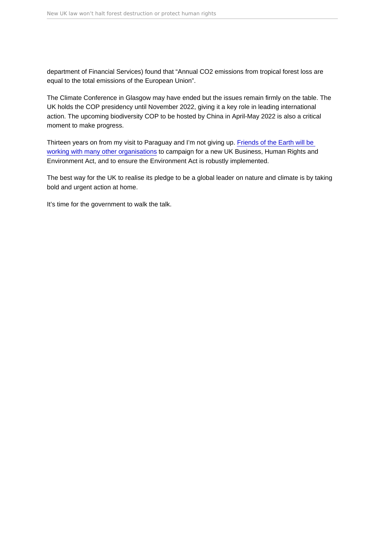department of Financial Services) found that "Annual CO2 emissions from tropical forest loss are equal to the total emissions of the European Union".

The Climate Conference in Glasgow may have ended but the issues remain firmly on the table. The UK holds the COP presidency until November 2022, giving it a key role in leading international action. The upcoming biodiversity COP to be hosted by China in April-May 2022 is also a critical moment to make progress.

Thirteen years on from my visit to Paraguay and I'm not giving up. [Friends of the Earth will be](https://www.theguardian.com/environment/2021/jul/04/rights-groups-join-forces-to-call-for-uk-corporate-accountability-laws)  [working with many other organisations](https://www.theguardian.com/environment/2021/jul/04/rights-groups-join-forces-to-call-for-uk-corporate-accountability-laws) to campaign for a new UK Business, Human Rights and Environment Act, and to ensure the Environment Act is robustly implemented.

The best way for the UK to realise its pledge to be a global leader on nature and climate is by taking bold and urgent action at home.

It's time for the government to walk the talk.